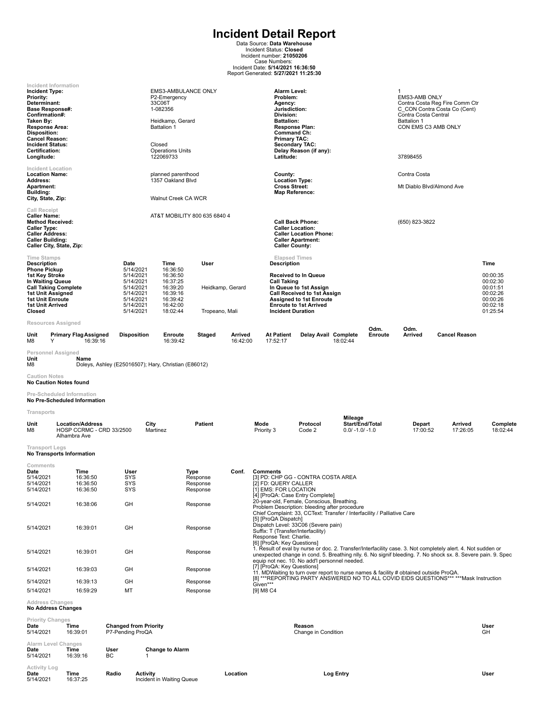**Incident Detail Report**<br>
Data Source: Data Warehouse<br>
Incident Status: Closed<br>
Incident number: 21050206<br>
Case Numbers:<br>
Incident Date: 5/14/2021<br>
Report Generated: 5/27/2021 11:25:30

| Incident Type:<br>Priority:<br>Determinant:<br><b>Base Response#:</b><br>Confirmation#:<br>Taken By:<br>Response Area:<br><b>Disposition:</b><br><b>Cancel Reason:</b><br><b>Incident Status:</b><br>Certification:<br>Longitude: | Incident Information                                                       |                                                                                                      | EMS3-AMBULANCE ONLY<br>P2-Emergency<br>33C06T<br>1-082356<br>Heidkamp, Gerard<br><b>Battalion 1</b><br>Closed<br><b>Operations Units</b><br>122069733 |                                          |                     | Alarm Level:<br>Problem:<br>Agency:<br>Jurisdiction:<br>Division:<br><b>Battalion:</b><br>Response Plan:<br>Command Ch:<br><b>Primary TAC:</b><br>Latitude:                                                                        | <b>Secondary TAC:</b><br>Delay Reason (if any):                                                                                                                |                                                 |                           | -1<br><b>EMS3-AMB ONLY</b><br>Contra Costa Central<br><b>Battalion 1</b><br>CON EMS C3 AMB ONLY<br>37898455 | Contra Costa Reg Fire Comm Ctr<br>C CON Contra Costa Co (Cent)                                                                                                                                                               |                                                                                  |
|-----------------------------------------------------------------------------------------------------------------------------------------------------------------------------------------------------------------------------------|----------------------------------------------------------------------------|------------------------------------------------------------------------------------------------------|-------------------------------------------------------------------------------------------------------------------------------------------------------|------------------------------------------|---------------------|------------------------------------------------------------------------------------------------------------------------------------------------------------------------------------------------------------------------------------|----------------------------------------------------------------------------------------------------------------------------------------------------------------|-------------------------------------------------|---------------------------|-------------------------------------------------------------------------------------------------------------|------------------------------------------------------------------------------------------------------------------------------------------------------------------------------------------------------------------------------|----------------------------------------------------------------------------------|
| <b>Incident Location</b><br><b>Location Name:</b><br>Address:                                                                                                                                                                     |                                                                            |                                                                                                      | planned parenthood<br>1357 Oakland Blvd                                                                                                               |                                          |                     | County:<br><b>Location Type:</b>                                                                                                                                                                                                   |                                                                                                                                                                |                                                 | Contra Costa              |                                                                                                             |                                                                                                                                                                                                                              |                                                                                  |
| Apartment:<br>Building:<br>City, State, Zip:                                                                                                                                                                                      |                                                                            |                                                                                                      | Walnut Creek CA WCR                                                                                                                                   |                                          |                     |                                                                                                                                                                                                                                    | <b>Cross Street:</b><br>Map Reference:                                                                                                                         |                                                 | Mt Diablo Blvd/Almond Ave |                                                                                                             |                                                                                                                                                                                                                              |                                                                                  |
| <b>Call Receipt</b><br><b>Caller Name:</b><br><b>Method Received:</b><br><b>Caller Type:</b><br><b>Caller Address:</b><br><b>Caller Building:</b>                                                                                 | Caller City, State, Zip:                                                   |                                                                                                      | AT&T MOBILITY 800 635 6840 4                                                                                                                          |                                          |                     |                                                                                                                                                                                                                                    | <b>Call Back Phone:</b><br><b>Caller Location:</b><br><b>Caller Location Phone:</b><br><b>Caller Apartment:</b><br><b>Caller County:</b>                       |                                                 | (650) 823-3822            |                                                                                                             |                                                                                                                                                                                                                              |                                                                                  |
| <b>Time Stamps</b><br><b>Description</b>                                                                                                                                                                                          |                                                                            | Date                                                                                                 | Time                                                                                                                                                  | User                                     |                     | <b>Elapsed Times</b><br>Description                                                                                                                                                                                                |                                                                                                                                                                |                                                 |                           |                                                                                                             |                                                                                                                                                                                                                              | Time                                                                             |
| <b>Phone Pickup</b><br>1st Key Stroke<br>In Waiting Queue<br>1st Unit Assigned<br><b>1st Unit Enroute</b><br>1st Unit Arrived<br>Closed                                                                                           | <b>Call Taking Complete</b>                                                | 5/14/2021<br>5/14/2021<br>5/14/2021<br>5/14/2021<br>5/14/2021<br>5/14/2021<br>5/14/2021<br>5/14/2021 | 16:36:50<br>16:36:50<br>16:37:25<br>16:39:20<br>16:39:16<br>16:39:42<br>16:42:00<br>18:02:44                                                          | Heidkamp, Gerard<br>Tropeano, Mali       |                     | <b>Call Taking</b><br><b>Incident Duration</b>                                                                                                                                                                                     | <b>Received to In Queue</b><br>In Queue to 1st Assign<br><b>Call Received to 1st Assign</b><br><b>Assigned to 1st Enroute</b><br><b>Enroute to 1st Arrived</b> |                                                 |                           |                                                                                                             |                                                                                                                                                                                                                              | 00:00:35<br>00:02:30<br>00:01:51<br>00:02:26<br>00:00:26<br>00:02:18<br>01:25:54 |
|                                                                                                                                                                                                                                   | <b>Resources Assigned</b>                                                  |                                                                                                      |                                                                                                                                                       |                                          |                     |                                                                                                                                                                                                                                    |                                                                                                                                                                |                                                 | Odm.                      | Odm.                                                                                                        |                                                                                                                                                                                                                              |                                                                                  |
| Unit<br>M8<br>Υ                                                                                                                                                                                                                   | <b>Primary Flag Assigned</b><br>16:39:16                                   | <b>Disposition</b>                                                                                   | Enroute<br>16:39:42                                                                                                                                   | Staged                                   | Arrived<br>16:42:00 | <b>At Patient</b><br>17:52:17                                                                                                                                                                                                      | Delay Avail Complete                                                                                                                                           | 18:02:44                                        | Enroute                   | <b>Arrived</b>                                                                                              | <b>Cancel Reason</b>                                                                                                                                                                                                         |                                                                                  |
| Unit<br>M8                                                                                                                                                                                                                        | Personnel Assigned<br>Name                                                 |                                                                                                      | Doleys, Ashley (E25016507); Hary, Christian (E86012)                                                                                                  |                                          |                     |                                                                                                                                                                                                                                    |                                                                                                                                                                |                                                 |                           |                                                                                                             |                                                                                                                                                                                                                              |                                                                                  |
| <b>Caution Notes</b>                                                                                                                                                                                                              | <b>No Caution Notes found</b>                                              |                                                                                                      |                                                                                                                                                       |                                          |                     |                                                                                                                                                                                                                                    |                                                                                                                                                                |                                                 |                           |                                                                                                             |                                                                                                                                                                                                                              |                                                                                  |
|                                                                                                                                                                                                                                   | Pre-Scheduled Information<br><b>No Pre-Scheduled Information</b>           |                                                                                                      |                                                                                                                                                       |                                          |                     |                                                                                                                                                                                                                                    |                                                                                                                                                                |                                                 |                           |                                                                                                             |                                                                                                                                                                                                                              |                                                                                  |
| Transports                                                                                                                                                                                                                        |                                                                            |                                                                                                      |                                                                                                                                                       |                                          |                     |                                                                                                                                                                                                                                    |                                                                                                                                                                |                                                 |                           |                                                                                                             |                                                                                                                                                                                                                              |                                                                                  |
| Unit<br>M8                                                                                                                                                                                                                        | <b>Location/Address</b><br><b>HOSP CCRMC - CRD 33/2500</b><br>Alhambra Ave |                                                                                                      | City<br>Martinez                                                                                                                                      | <b>Patient</b>                           |                     | Mode<br>Priority 3                                                                                                                                                                                                                 | Protocol<br>Code 2                                                                                                                                             | Mileage<br>Start/End/Total<br>$0.0/ -1.0/ -1.0$ |                           | Depart<br>17:00:52                                                                                          | Arrived<br>17:26:05                                                                                                                                                                                                          | Complete<br>18:02:44                                                             |
| <b>Transport Legs</b>                                                                                                                                                                                                             | <b>No Transports Information</b>                                           |                                                                                                      |                                                                                                                                                       |                                          |                     |                                                                                                                                                                                                                                    |                                                                                                                                                                |                                                 |                           |                                                                                                             |                                                                                                                                                                                                                              |                                                                                  |
| Comments<br>Date<br>5/14/2021<br>5/14/2021<br>5/14/2021                                                                                                                                                                           | Time<br>16:36:50<br>16:36:50<br>16:36:50                                   | User<br>SYS<br>SYS<br>SYS                                                                            |                                                                                                                                                       | Type<br>Response<br>Response<br>Response | Conf.               | <b>Comments</b><br>[3] PD: CHP GG - CONTRA COSTA AREA<br>[2] FD: QUERY CALLER<br>[1] EMS: FOR LOCATION                                                                                                                             |                                                                                                                                                                |                                                 |                           |                                                                                                             |                                                                                                                                                                                                                              |                                                                                  |
| 5/14/2021                                                                                                                                                                                                                         | 16:38:06                                                                   | GH                                                                                                   |                                                                                                                                                       | Response                                 |                     | [4] [ProQA: Case Entry Complete]<br>20-year-old, Female, Conscious, Breathing.<br>Problem Description: bleeding after procedure<br>Chief Complaint: 33, CCText: Transfer / Interfacility / Palliative Care<br>[5] [ProQA Dispatch] |                                                                                                                                                                |                                                 |                           |                                                                                                             |                                                                                                                                                                                                                              |                                                                                  |
| 5/14/2021                                                                                                                                                                                                                         | 16:39:01                                                                   | GH                                                                                                   |                                                                                                                                                       | Response                                 |                     | Dispatch Level: 33C06 (Severe pain)<br>Suffix: T (Transfer/Interfacility)<br>Response Text: Charlie.                                                                                                                               |                                                                                                                                                                |                                                 |                           |                                                                                                             |                                                                                                                                                                                                                              |                                                                                  |
| 5/14/2021                                                                                                                                                                                                                         | 16:39:01                                                                   | GH                                                                                                   |                                                                                                                                                       | Response                                 |                     | [6] [ProQA: Key Questions]<br>equip not nec. 10. No add'l personnel needed.                                                                                                                                                        |                                                                                                                                                                |                                                 |                           |                                                                                                             | 1. Result of eval by nurse or doc. 2. Transfer/Interfacility case. 3. Not completely alert. 4. Not sudden or<br>unexpected change in cond. 5. Breathing nlly. 6. No signif bleeding. 7. No shock sx. 8. Severe pain. 9. Spec |                                                                                  |
| 5/14/2021                                                                                                                                                                                                                         | 16:39:03                                                                   | GH                                                                                                   |                                                                                                                                                       | Response                                 |                     | [7] [ProQA: Key Questions]<br>11. MDWaiting to turn over report to nurse names & facility # obtained outside ProQA.                                                                                                                |                                                                                                                                                                |                                                 |                           |                                                                                                             |                                                                                                                                                                                                                              |                                                                                  |
| 5/14/2021                                                                                                                                                                                                                         | 16:39:13                                                                   | GH                                                                                                   |                                                                                                                                                       | Response                                 |                     | Given***                                                                                                                                                                                                                           |                                                                                                                                                                |                                                 |                           |                                                                                                             | [8] ***REPORTING PARTY ANSWERED NO TO ALL COVID EIDS QUESTIONS*** ***Mask Instruction                                                                                                                                        |                                                                                  |
| 5/14/2021<br>Address Changes                                                                                                                                                                                                      | 16:59:29<br><b>No Address Changes</b>                                      | MT                                                                                                   |                                                                                                                                                       | Response                                 |                     | [9] M8 C4                                                                                                                                                                                                                          |                                                                                                                                                                |                                                 |                           |                                                                                                             |                                                                                                                                                                                                                              |                                                                                  |
| <b>Priority Changes</b><br>Date<br>5/14/2021                                                                                                                                                                                      | Time<br>16:39:01                                                           | <b>Changed from Priority</b><br>P7-Pending ProQA                                                     |                                                                                                                                                       |                                          |                     |                                                                                                                                                                                                                                    | Reason<br>Change in Condition                                                                                                                                  |                                                 |                           |                                                                                                             |                                                                                                                                                                                                                              | User<br>GH                                                                       |
| Date<br>5/14/2021                                                                                                                                                                                                                 | Alarm Level Changes<br>Time<br>16:39:16                                    | User<br>ВC                                                                                           | <b>Change to Alarm</b><br>-1                                                                                                                          |                                          |                     |                                                                                                                                                                                                                                    |                                                                                                                                                                |                                                 |                           |                                                                                                             |                                                                                                                                                                                                                              |                                                                                  |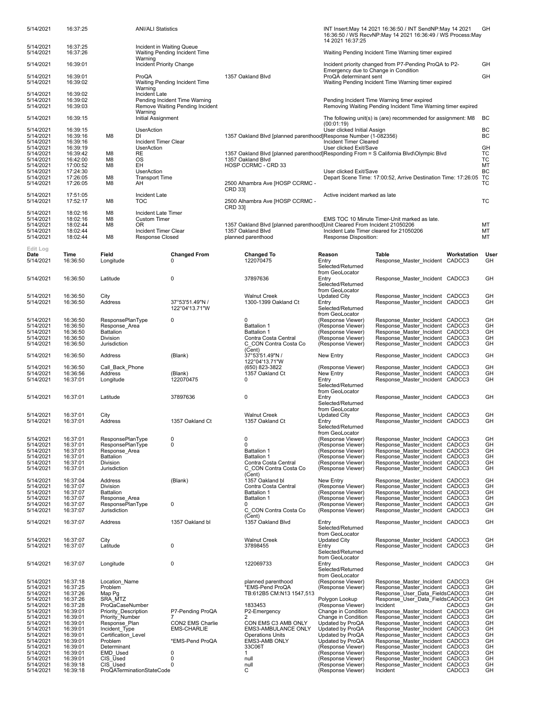| 5/14/2021                           | 16:37:25                         |                                                         | <b>ANI/ALI Statistics</b>                  |                                                                  |                   |                                                                                                             |                                                                                                                       | INT Insert: May 14 2021 16:36:50 / INT SendNP: May 14 2021<br>16:36:50 / WS RecvNP:May 14 2021 16:36:49 / WS Process:May |                       | GH         |  |
|-------------------------------------|----------------------------------|---------------------------------------------------------|--------------------------------------------|------------------------------------------------------------------|-------------------|-------------------------------------------------------------------------------------------------------------|-----------------------------------------------------------------------------------------------------------------------|--------------------------------------------------------------------------------------------------------------------------|-----------------------|------------|--|
| 5/14/2021                           | 16:37:25                         |                                                         | Incident in Waiting Queue                  | Waiting Pending Incident Time                                    |                   |                                                                                                             | 14 2021 16:37:25                                                                                                      | Waiting Pending Incident Time Warning timer expired                                                                      |                       |            |  |
| 5/14/2021<br>5/14/2021              | 16:37:26<br>16:39:01             |                                                         | Warning<br>Incident Priority Change        |                                                                  |                   |                                                                                                             |                                                                                                                       | Incident priority changed from P7-Pending ProQA to P2-                                                                   |                       | GH         |  |
| 5/14/2021                           | 16:39:01                         |                                                         | ProQA                                      |                                                                  |                   | 1357 Oakland Blvd                                                                                           | ProQA determinant sent                                                                                                | Emergency due to Change in Condition                                                                                     |                       | GH         |  |
| 5/14/2021                           | 16:39:02                         |                                                         | Warning                                    | Waiting Pending Incident Time                                    |                   |                                                                                                             |                                                                                                                       | Waiting Pending Incident Time Warning timer expired                                                                      |                       |            |  |
| 5/14/2021<br>5/14/2021<br>5/14/2021 | 16:39:02<br>16:39:02<br>16:39:03 |                                                         | Incident Late                              | Pending Incident Time Warning<br>Remove Waiting Pending Incident |                   |                                                                                                             |                                                                                                                       | Pending Incident Time Warning timer expired<br>Removing Waiting Pending Incident Time Warning timer expired              |                       |            |  |
| 5/14/2021                           | 16:39:15                         |                                                         | Warning<br>Initial Assignment              |                                                                  |                   |                                                                                                             | (00:01:19)                                                                                                            | The following unit(s) is (are) recommended for assignment: M8                                                            |                       | BC         |  |
| 5/14/2021<br>5/14/2021              | 16:39:15<br>16:39:16             | M8                                                      | <b>UserAction</b><br>DI                    |                                                                  |                   | 1357 Oakland Blvd [planned parenthood]Response Number (1-082356)                                            | User clicked Initial Assign                                                                                           |                                                                                                                          |                       | BС<br>BC   |  |
| 5/14/2021<br>5/14/2021              | 16:39:16<br>16:39:19             |                                                         | Incident Timer Clear<br><b>UserAction</b>  |                                                                  |                   |                                                                                                             | Incident Timer Cleared<br>User clicked Exit/Save                                                                      |                                                                                                                          |                       | GH         |  |
| 5/14/2021<br>5/14/2021              | 16:39:42<br>16:42:00             | M8<br>M8                                                | RE<br>OS                                   |                                                                  |                   | 1357 Oakland Blvd [planned parenthood]Responding From = S California Blvd\Olympic Blvd<br>1357 Oakland Blvd |                                                                                                                       |                                                                                                                          |                       | ТC<br>ТC   |  |
| 5/14/2021<br>5/14/2021              | 17:00:52<br>17:24:30             | M8                                                      | EH<br><b>UserAction</b>                    |                                                                  |                   | HOSP CCRMC - CRD 33                                                                                         | User clicked Exit/Save                                                                                                |                                                                                                                          |                       | MT<br>BC   |  |
| 5/14/2021<br>5/14/2021              | 17:26:05<br>17:26:05             | M8<br>M8                                                | <b>Transport Time</b><br>AΗ                |                                                                  | <b>CRD 331</b>    | 2500 Alhambra Ave [HOSP CCRMC -                                                                             |                                                                                                                       | Depart Scene Time: 17:00:52, Arrive Destination Time: 17:26:05                                                           |                       | TC<br>ТC   |  |
| 5/14/2021<br>5/14/2021              | 17:51:05<br>17:52:17             | M8                                                      | Incident Late<br>TOC                       |                                                                  | CRD 33            | 2500 Alhambra Ave [HOSP CCRMC -                                                                             | Active incident marked as late                                                                                        |                                                                                                                          |                       | ТC         |  |
| 5/14/2021<br>5/14/2021              | 18:02:16<br>18:02:16             | M8<br>M8                                                | Incident Late Timer<br><b>Custom Timer</b> |                                                                  |                   |                                                                                                             |                                                                                                                       | EMS TOC 10 Minute Timer-Unit marked as late.                                                                             |                       |            |  |
| 5/14/2021<br>5/14/2021              | 18:02:44<br>18:02:44             | M <sub>8</sub>                                          | 0R<br>Incident Timer Clear                 |                                                                  | 1357 Oakland Blvd |                                                                                                             | 1357 Oakland Blvd [planned parenthood]Unit Cleared From Incident 21050206<br>Incident Late Timer cleared for 21050206 |                                                                                                                          |                       |            |  |
| 5/14/2021                           | 18:02:44                         | M8                                                      | Response Closed                            |                                                                  |                   | planned parenthood                                                                                          | Response Disposition:                                                                                                 |                                                                                                                          |                       | МT         |  |
| Edit Log<br>Date<br>5/14/2021       | Time<br>16:36:50                 | Field<br>Longitude                                      |                                            | <b>Changed From</b><br>0                                         |                   | <b>Changed To</b><br>122070475                                                                              | Reason<br>Entry<br>Selected/Returned                                                                                  | Table<br>Response Master Incident                                                                                        | Workstation<br>CADCC3 | User<br>GH |  |
| 5/14/2021                           | 16:36:50                         | Latitude                                                |                                            | 0                                                                |                   | 37897636                                                                                                    | from GeoLocator<br>Entry<br>Selected/Returned<br>from GeoLocator                                                      | Response Master Incident CADCC3                                                                                          |                       | GH         |  |
| 5/14/2021<br>5/14/2021              | 16:36:50<br>16:36:50             | City<br>Address                                         |                                            | 37°53'51.49"N/                                                   |                   | <b>Walnut Creek</b><br>1300-1399 Oakland Ct                                                                 | <b>Updated City</b><br>Entry                                                                                          | Response_Master_Incident CADCC3<br>Response Master Incident CADCC3                                                       |                       | GH<br>GH   |  |
|                                     |                                  |                                                         |                                            | 122°04'13.71"W                                                   |                   |                                                                                                             | Selected/Returned<br>from GeoLocator                                                                                  |                                                                                                                          |                       |            |  |
| 5/14/2021<br>5/14/2021              | 16:36:50<br>16:36:50             | ResponsePlanType<br>Response_Area                       |                                            | 0                                                                |                   | $\mathbf 0$<br><b>Battalion 1</b>                                                                           | (Response Viewer)<br>(Response Viewer)                                                                                | Response Master Incident CADCC3<br>Response Master Incident CADCC3                                                       |                       | GH<br>GH   |  |
| 5/14/2021<br>5/14/2021              | 16:36:50<br>16:36:50             | <b>Battalion</b><br>Division                            |                                            |                                                                  |                   | <b>Battalion 1</b><br>Contra Costa Central                                                                  | (Response Viewer)<br>(Response Viewer)                                                                                | Response Master Incident CADCC3<br>Response Master Incident CADCC3                                                       |                       | GH<br>GH   |  |
| 5/14/2021<br>5/14/2021              | 16:36:50<br>16:36:50             | Jurisdiction<br>Address                                 |                                            | (Blank)                                                          |                   | C CON Contra Costa Co<br>(Cent)<br>37°53'51.49"N /                                                          | (Response Viewer)<br>New Entry                                                                                        | Response Master Incident CADCC3<br>Response Master Incident CADCC3                                                       |                       | GH<br>GH   |  |
| 5/14/2021                           | 16:36:50                         | Call Back Phone                                         |                                            |                                                                  |                   | 122°04'13.71"W<br>(650) 823-3822                                                                            | (Response Viewer)                                                                                                     | Response Master Incident CADCC3                                                                                          |                       | GH         |  |
| 5/14/2021<br>5/14/2021              | 16:36:56<br>16:37:01             | Address<br>Longitude                                    |                                            | (Blank)<br>122070475                                             |                   | 1357 Oakland Ct<br>0                                                                                        | New Entry<br>Entry<br>Selected/Returned                                                                               | Response Master Incident CADCC3<br>Response Master Incident CADCC3                                                       |                       | GH<br>GH   |  |
| 5/14/2021                           | 16:37:01                         | Latitude                                                |                                            | 37897636                                                         |                   | 0                                                                                                           | from GeoLocator<br>Entry<br>Selected/Returned<br>from GeoLocator                                                      | Response Master Incident CADCC3                                                                                          |                       | GH         |  |
| 5/14/2021<br>5/14/2021              | 16:37:01<br>16:37:01             | City<br><b>Address</b>                                  |                                            | 1357 Oakland Ct                                                  |                   | <b>Walnut Creek</b><br>1357 Oakland Ct                                                                      | <b>Updated City</b><br>Entry<br>Selected/Returned                                                                     | Response Master Incident CADCC3<br>Response_Master_Incident CADCC3                                                       |                       | GH<br>GH   |  |
| 5/14/2021                           | 16:37:01                         | ResponsePlanType                                        |                                            | 0                                                                |                   | 0                                                                                                           | from GeoLocator<br>(Response Viewer)                                                                                  | Response Master Incident CADCC3                                                                                          |                       | GH         |  |
| 5/14/2021<br>5/14/2021              | 16:37:01<br>16:37:01             | ResponsePlanType<br>Response Area                       |                                            | 0                                                                |                   | $\mathbf 0$<br><b>Battalion 1</b>                                                                           | (Response Viewer)<br>(Response Viewer)                                                                                | Response Master Incident CADCC3<br>Response Master Incident CADCC3                                                       |                       | GH<br>GH   |  |
| 5/14/2021<br>5/14/2021              | 16:37:01<br>16:37:01             | Battalion<br>Division                                   |                                            |                                                                  |                   | <b>Battalion 1</b><br>Contra Costa Central                                                                  | (Response Viewer)<br>(Response Viewer)                                                                                | Response Master Incident CADCC3<br>Response Master Incident CADCC3                                                       |                       | GH<br>GH   |  |
| 5/14/2021                           | 16:37:01                         | Jurisdiction                                            |                                            |                                                                  |                   | C CON Contra Costa Co<br>(Cent)                                                                             | (Response Viewer)                                                                                                     | Response Master Incident CADCC3                                                                                          |                       | GH         |  |
| 5/14/2021<br>5/14/2021              | 16:37:04<br>16:37:07             | Address<br><b>Division</b>                              |                                            | (Blank)                                                          |                   | 1357 Oakland bl<br>Contra Costa Central                                                                     | New Entry<br>(Response Viewer)                                                                                        | Response Master Incident CADCC3<br>Response Master Incident CADCC3                                                       |                       | GH<br>GH   |  |
| 5/14/2021<br>5/14/2021              | 16:37:07<br>16:37:07             | Battalion<br>Response Area                              |                                            |                                                                  |                   | <b>Battalion 1</b><br><b>Battalion 1</b>                                                                    | (Response Viewer)<br>(Response Viewer)                                                                                | Response Master Incident CADCC3<br>Response Master Incident CADCC3                                                       |                       | GH<br>GH   |  |
| 5/14/2021<br>5/14/2021              | 16:37:07<br>16:37:07             | <b>ResponsePlanType</b><br>Jurisdiction                 |                                            | 0                                                                |                   | 0<br>C CON Contra Costa Co<br>(Cent)                                                                        | (Response Viewer)<br>(Response Viewer)                                                                                | Response Master Incident CADCC3<br>Response Master Incident CADCC3                                                       |                       | GH<br>GH   |  |
| 5/14/2021                           | 16:37:07                         | Address                                                 |                                            | 1357 Oakland bl                                                  |                   | 1357 Oakland Blvd                                                                                           | Entry<br>Selected/Returned<br>from GeoLocator                                                                         | Response Master Incident CADCC3                                                                                          |                       | GH         |  |
| 5/14/2021<br>5/14/2021              | 16:37:07<br>16:37:07             | City<br>Latitude                                        |                                            | 0                                                                |                   | <b>Walnut Creek</b><br>37898455                                                                             | <b>Updated City</b><br>Entry<br>Selected/Returned                                                                     | Response Master Incident CADCC3<br>Response Master Incident CADCC3                                                       |                       | GH<br>GH   |  |
| 5/14/2021                           | 16:37:07                         | Longitude                                               |                                            | 0                                                                |                   | 122069733                                                                                                   | from GeoLocator<br>Entry<br>Selected/Returned                                                                         | Response Master Incident CADCC3                                                                                          |                       | GH         |  |
| 5/14/2021<br>5/14/2021              | 16:37:18<br>16:37:25             | Location Name<br>Problem                                |                                            |                                                                  |                   | planned parenthood<br>*EMS-Pend ProQA                                                                       | from GeoLocator<br>(Response Viewer)<br>(Response Viewer)                                                             | Response Master Incident CADCC3<br>Response Master Incident CADCC3                                                       |                       | GH<br>GH   |  |
| 5/14/2021                           | 16:37:26                         | Map Pg<br>SRA MTZ                                       |                                            |                                                                  |                   | TB:612B5 CM:N13 1547,513                                                                                    |                                                                                                                       | Response User Data FieldsCADCC3                                                                                          |                       | GH         |  |
| 5/14/2021<br>5/14/2021              | 16:37:26<br>16:37:28             | ProQaCaseNumber                                         |                                            |                                                                  |                   | 1833453                                                                                                     | Polygon Lookup<br>(Response Viewer)                                                                                   | Response User Data FieldsCADCC3<br>Incident                                                                              | CADCC3                | GH<br>GH   |  |
| 5/14/2021<br>5/14/2021              | 16:39:01<br>16:39:01             | Priority_Description<br>Priority Number                 |                                            | P7-Pending ProQA                                                 |                   | P2-Emergency<br>2                                                                                           | Change in Condition<br>Change in Condition                                                                            | Response Master Incident CADCC3<br>Response Master Incident CADCC3                                                       |                       | GH<br>GH   |  |
| 5/14/2021                           | 16:39:01                         | Response Plan                                           |                                            | CON2 EMS Charlie                                                 |                   | CON EMS C3 AMB ONLY                                                                                         | Updated by ProQA                                                                                                      | Response Master Incident CADCC3                                                                                          |                       | GH         |  |
| 5/14/2021<br>5/14/2021              | 16:39:01<br>16:39:01             | Incident Type<br>Certification Level                    |                                            | <b>EMS-CHARLIE</b>                                               |                   | EMS3-AMBULANCE ONLY<br><b>Operations Units</b>                                                              | Updated by ProQA<br>Updated by ProQA                                                                                  | Response_Master_Incident CADCC3<br>Response Master Incident CADCC3                                                       |                       | GH<br>GH   |  |
| 5/14/2021                           | 16:39:01                         | Problem                                                 |                                            | *EMS-Pend ProQA                                                  |                   | EMS3-AMB ONLY                                                                                               | Updated by ProQA                                                                                                      | Response Master Incident CADCC3                                                                                          |                       | GH         |  |
| 5/14/2021                           | 16:39:01                         | Determinant<br>EMD Used                                 |                                            | 0                                                                |                   | 33C06T<br>$\mathbf{1}$                                                                                      | (Response Viewer)                                                                                                     | Response Master Incident CADCC3                                                                                          |                       | GH<br>GH   |  |
| 5/14/2021<br>5/14/2021              | 16:39:01<br>16:39:01             | CIS Used                                                |                                            | 0                                                                |                   | null                                                                                                        | (Response Viewer)<br>(Response Viewer)                                                                                | Response Master Incident CADCC3<br>Response Master Incident CADCC3                                                       |                       | GH         |  |
| 5/14/2021                           | 16:39:18                         | CIS <sup>Used</sup><br><b>ProQATerminationStateCode</b> |                                            | 0                                                                |                   | null                                                                                                        | (Response Viewer)                                                                                                     | Response Master Incident CADCC3                                                                                          | CADCC3                | GH<br>GH   |  |
| 5/14/2021                           | 16:39:18                         |                                                         |                                            |                                                                  |                   | С                                                                                                           | (Response Viewer)                                                                                                     | Incident                                                                                                                 |                       |            |  |